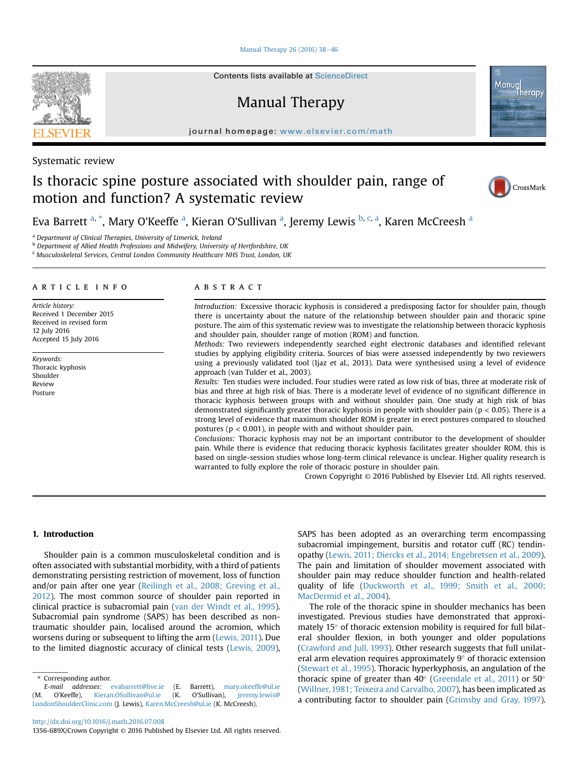Manual Therapy 26  $(2016)$  38-[46](http://dx.doi.org/10.1016/j.math.2016.07.008)

Contents lists available at ScienceDirect

Manual Therapy

journal homepage: [www.elsevier.com/math](http://www.elsevier.com/math)





# Is thoracic spine posture associated with shoulder pain, range of motion and function? A systematic review



CrossMark

Therapy

Manug

# Eva Barrett <sup>a, \*</sup>, Mary O'Keeffe <sup>a</sup>, Kieran O'Sullivan <sup>a</sup>, Jeremy Lewis <sup>b, c, a</sup>, Karen McCreesh <sup>a</sup>

<sup>a</sup> Department of Clinical Therapies, University of Limerick, Ireland

b Department of Allied Health Professions and Midwifery, University of Hertfordshire, UK

<sup>c</sup> Musculoskeletal Services, Central London Community Healthcare NHS Trust, London, UK

#### article info

Article history: Received 1 December 2015 Received in revised form 12 July 2016 Accepted 15 July 2016

Keywords: Thoracic kyphosis Shoulder Review Posture

#### **ABSTRACT**

Introduction: Excessive thoracic kyphosis is considered a predisposing factor for shoulder pain, though there is uncertainty about the nature of the relationship between shoulder pain and thoracic spine posture. The aim of this systematic review was to investigate the relationship between thoracic kyphosis and shoulder pain, shoulder range of motion (ROM) and function.

Methods: Two reviewers independently searched eight electronic databases and identified relevant studies by applying eligibility criteria. Sources of bias were assessed independently by two reviewers using a previously validated tool (Ijaz et al., 2013). Data were synthesised using a level of evidence approach (van Tulder et al., 2003).

Results: Ten studies were included. Four studies were rated as low risk of bias, three at moderate risk of bias and three at high risk of bias. There is a moderate level of evidence of no significant difference in thoracic kyphosis between groups with and without shoulder pain. One study at high risk of bias demonstrated significantly greater thoracic kyphosis in people with shoulder pain ( $p < 0.05$ ). There is a strong level of evidence that maximum shoulder ROM is greater in erect postures compared to slouched postures ( $p < 0.001$ ), in people with and without shoulder pain.

Conclusions: Thoracic kyphosis may not be an important contributor to the development of shoulder pain. While there is evidence that reducing thoracic kyphosis facilitates greater shoulder ROM, this is based on single-session studies whose long-term clinical relevance is unclear. Higher quality research is warranted to fully explore the role of thoracic posture in shoulder pain.

Crown Copyright © 2016 Published by Elsevier Ltd. All rights reserved.

SAPS has been adopted as an overarching term encompassing subacromial impingement, bursitis and rotator cuff (RC) tendinopathy [\(Lewis, 2011; Diercks et al., 2014; Engebretsen et al., 2009\)](#page-7-0). The pain and limitation of shoulder movement associated with shoulder pain may reduce shoulder function and health-related quality of life ([Duckworth et al., 1999; Smith et al., 2000;](#page-7-0)

The role of the thoracic spine in shoulder mechanics has been

([Willner, 1981; Teixeira and Carvalho, 2007\)](#page-8-0), has been implicated as a contributing factor to shoulder pain [\(Grimsby and Gray, 1997\)](#page-7-0).

## 1. Introduction

Shoulder pain is a common musculoskeletal condition and is often associated with substantial morbidity, with a third of patients demonstrating persisting restriction of movement, loss of function and/or pain after one year [\(Reilingh et al., 2008; Greving et al.,](#page-7-0) [2012](#page-7-0)). The most common source of shoulder pain reported in clinical practice is subacromial pain [\(van der Windt et al., 1995\)](#page-8-0). Subacromial pain syndrome (SAPS) has been described as nontraumatic shoulder pain, localised around the acromion, which worsens during or subsequent to lifting the arm [\(Lewis, 2011\)](#page-7-0). Due to the limited diagnostic accuracy of clinical tests [\(Lewis, 2009\)](#page-7-0),

\* Corresponding author.

[MacDermid et al., 2004\)](#page-7-0).

<http://dx.doi.org/10.1016/j.math.2016.07.008>

E-mail addresses: [evabarrett@live.ie](mailto:evabarrett@live.ie) (E. Barrett), [mary.okeeffe@ul.ie](mailto:mary.okeeffe@ul.ie) (Vieeffe), Kieran.OSullivan@ul.ie (K. O'Sullivan), jeremy.lewis@ (M. O'Keeffe), [Kieran.OSullivan@ul.ie](mailto:Kieran.OSullivan@ul.ie) (K. O'Sullivan), [jeremy.lewis@](mailto:jeremy.lewis@LondonShoulderClinic.com) [LondonShoulderClinic.com](mailto:jeremy.lewis@LondonShoulderClinic.com) (J. Lewis), [Karen.McCreesh@ul.ie](mailto:Karen.McCreesh@ul.ie) (K. McCreesh).

investigated. Previous studies have demonstrated that approximately  $15^\circ$  of thoracic extension mobility is required for full bilateral shoulder flexion, in both younger and older populations ([Crawford and Jull, 1993\)](#page-7-0). Other research suggests that full unilateral arm elevation requires approximately  $9^{\circ}$  of thoracic extension ([Stewart et al., 1995](#page-7-0)). Thoracic hyperkyphosis, an angulation of the thoracic spine of greater than  $40^\circ$  ([Greendale et al., 2011](#page-7-0)) or  $50^\circ$ 

<sup>1356-689</sup>X/Crown Copyright © 2016 Published by Elsevier Ltd. All rights reserved.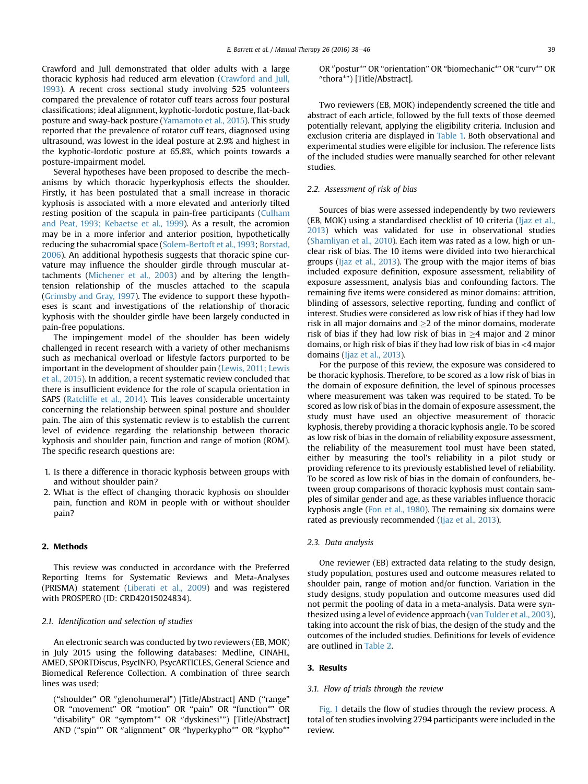Crawford and Jull demonstrated that older adults with a large thoracic kyphosis had reduced arm elevation ([Crawford and Jull,](#page-7-0) [1993\)](#page-7-0). A recent cross sectional study involving 525 volunteers compared the prevalence of rotator cuff tears across four postural classifications; ideal alignment, kyphotic-lordotic posture, flat-back posture and sway-back posture [\(Yamamoto et al., 2015\)](#page-8-0). This study reported that the prevalence of rotator cuff tears, diagnosed using ultrasound, was lowest in the ideal posture at 2.9% and highest in the kyphotic-lordotic posture at 65.8%, which points towards a posture-impairment model.

Several hypotheses have been proposed to describe the mechanisms by which thoracic hyperkyphosis effects the shoulder. Firstly, it has been postulated that a small increase in thoracic kyphosis is associated with a more elevated and anteriorly tilted resting position of the scapula in pain-free participants ([Culham](#page-7-0) [and Peat, 1993; Kebaetse et al., 1999](#page-7-0)). As a result, the acromion may be in a more inferior and anterior position, hypothetically reducing the subacromial space ([Solem-Bertoft et al., 1993](#page-7-0); [Borstad,](#page-7-0) [2006\)](#page-7-0). An additional hypothesis suggests that thoracic spine curvature may influence the shoulder girdle through muscular attachments ([Michener et al., 2003\)](#page-7-0) and by altering the lengthtension relationship of the muscles attached to the scapula ([Grimsby and Gray, 1997\)](#page-7-0). The evidence to support these hypotheses is scant and investigations of the relationship of thoracic kyphosis with the shoulder girdle have been largely conducted in pain-free populations.

The impingement model of the shoulder has been widely challenged in recent research with a variety of other mechanisms such as mechanical overload or lifestyle factors purported to be important in the development of shoulder pain [\(Lewis, 2011; Lewis](#page-7-0) [et al., 2015\)](#page-7-0). In addition, a recent systematic review concluded that there is insufficient evidence for the role of scapula orientation in SAPS ([Ratcliffe et al., 2014\)](#page-7-0). This leaves considerable uncertainty concerning the relationship between spinal posture and shoulder pain. The aim of this systematic review is to establish the current level of evidence regarding the relationship between thoracic kyphosis and shoulder pain, function and range of motion (ROM). The specific research questions are:

- 1. Is there a difference in thoracic kyphosis between groups with and without shoulder pain?
- 2. What is the effect of changing thoracic kyphosis on shoulder pain, function and ROM in people with or without shoulder pain?

## 2. Methods

This review was conducted in accordance with the Preferred Reporting Items for Systematic Reviews and Meta-Analyses (PRISMA) statement [\(Liberati et al., 2009](#page-7-0)) and was registered with PROSPERO (ID: CRD42015024834).

#### 2.1. Identification and selection of studies

An electronic search was conducted by two reviewers (EB, MOK) in July 2015 using the following databases: Medline, CINAHL, AMED, SPORTDiscus, PsycINFO, PsycARTICLES, General Science and Biomedical Reference Collection. A combination of three search lines was used;

("shoulder" OR "glenohumeral") [Title/Abstract] AND ("range" OR "movement" OR "motion" OR "pain" OR "function\*" OR "disability" OR "symptom\*" OR "dyskinesi\*") [Title/Abstract] AND ("spin\*" OR "alignment" OR "hyperkypho\*" OR "kypho\*"

OR "postur\*" OR "orientation" OR "biomechanic\*" OR "curv\*" OR "thora\*") [Title/Abstract].

Two reviewers (EB, MOK) independently screened the title and abstract of each article, followed by the full texts of those deemed potentially relevant, applying the eligibility criteria. Inclusion and exclusion criteria are displayed in [Table 1.](#page-2-0) Both observational and experimental studies were eligible for inclusion. The reference lists of the included studies were manually searched for other relevant studies.

#### 2.2. Assessment of risk of bias

Sources of bias were assessed independently by two reviewers (EB, MOK) using a standardised checklist of 10 criteria ([Ijaz et al.,](#page-7-0) [2013\)](#page-7-0) which was validated for use in observational studies ([Shamliyan et al., 2010\)](#page-7-0). Each item was rated as a low, high or unclear risk of bias. The 10 items were divided into two hierarchical groups [\(Ijaz et al., 2013\)](#page-7-0). The group with the major items of bias included exposure definition, exposure assessment, reliability of exposure assessment, analysis bias and confounding factors. The remaining five items were considered as minor domains: attrition, blinding of assessors, selective reporting, funding and conflict of interest. Studies were considered as low risk of bias if they had low risk in all major domains and  $\geq$  2 of the minor domains, moderate risk of bias if they had low risk of bias in  $\geq$ 4 major and 2 minor domains, or high risk of bias if they had low risk of bias in <4 major domains [\(Ijaz et al., 2013](#page-7-0)).

For the purpose of this review, the exposure was considered to be thoracic kyphosis. Therefore, to be scored as a low risk of bias in the domain of exposure definition, the level of spinous processes where measurement was taken was required to be stated. To be scored as low risk of bias in the domain of exposure assessment, the study must have used an objective measurement of thoracic kyphosis, thereby providing a thoracic kyphosis angle. To be scored as low risk of bias in the domain of reliability exposure assessment, the reliability of the measurement tool must have been stated, either by measuring the tool's reliability in a pilot study or providing reference to its previously established level of reliability. To be scored as low risk of bias in the domain of confounders, between group comparisons of thoracic kyphosis must contain samples of similar gender and age, as these variables influence thoracic kyphosis angle [\(Fon et al., 1980](#page-7-0)). The remaining six domains were rated as previously recommended [\(Ijaz et al., 2013\)](#page-7-0).

#### 2.3. Data analysis

One reviewer (EB) extracted data relating to the study design, study population, postures used and outcome measures related to shoulder pain, range of motion and/or function. Variation in the study designs, study population and outcome measures used did not permit the pooling of data in a meta-analysis. Data were synthesized using a level of evidence approach [\(van Tulder et al., 2003\)](#page-8-0), taking into account the risk of bias, the design of the study and the outcomes of the included studies. Definitions for levels of evidence are outlined in [Table 2.](#page-2-0)

### 3. Results

#### 3.1. Flow of trials through the review

[Fig. 1](#page-2-0) details the flow of studies through the review process. A total of ten studies involving 2794 participants were included in the review.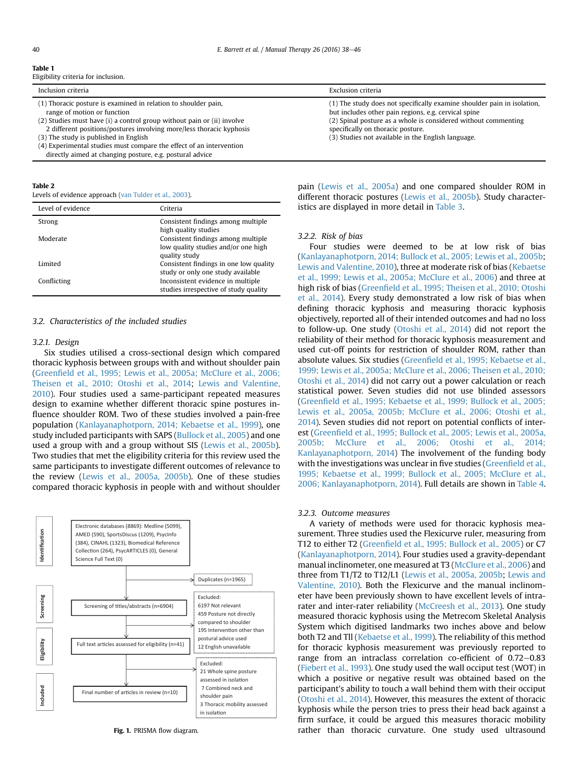#### <span id="page-2-0"></span>Table 1

Eligibility criteria for inclusion.

| Inclusion criteria                                                                                                                                                                                                                                                                                                                                              | Exclusion criteria                                                                                                                                                                                                                                                                           |
|-----------------------------------------------------------------------------------------------------------------------------------------------------------------------------------------------------------------------------------------------------------------------------------------------------------------------------------------------------------------|----------------------------------------------------------------------------------------------------------------------------------------------------------------------------------------------------------------------------------------------------------------------------------------------|
| (1) Thoracic posture is examined in relation to shoulder pain,<br>range of motion or function<br>(2) Studies must have (i) a control group without pain or (ii) involve<br>2 different positions/postures involving more/less thoracic kyphosis<br>(3) The study is published in English<br>(4) Experimental studies must compare the effect of an intervention | (1) The study does not specifically examine shoulder pain in isolation,<br>but includes other pain regions, e.g. cervical spine<br>(2) Spinal posture as a whole is considered without commenting<br>specifically on thoracic posture.<br>(3) Studies not available in the English language. |
| directly aimed at changing posture, e.g. postural advice                                                                                                                                                                                                                                                                                                        |                                                                                                                                                                                                                                                                                              |

# Table 2

Levels of evidence approach ([van Tulder et al., 2003](#page-8-0)).

| Level of evidence | Criteria                               |
|-------------------|----------------------------------------|
| Strong            | Consistent findings among multiple     |
|                   | high quality studies                   |
| Moderate          | Consistent findings among multiple     |
|                   | low quality studies and/or one high    |
|                   | quality study                          |
| Limited           | Consistent findings in one low quality |
|                   | study or only one study available      |
| Conflicting       | Inconsistent evidence in multiple      |
|                   | studies irrespective of study quality  |

# 3.2. Characteristics of the included studies

#### 3.2.1. Design

Six studies utilised a cross-sectional design which compared thoracic kyphosis between groups with and without shoulder pain (Greenfi[eld et al., 1995; Lewis et al., 2005a; McClure et al., 2006;](#page-7-0) [Theisen et al., 2010; Otoshi et al., 2014;](#page-7-0) [Lewis and Valentine,](#page-7-0) [2010](#page-7-0)). Four studies used a same-participant repeated measures design to examine whether different thoracic spine postures influence shoulder ROM. Two of these studies involved a pain-free population [\(Kanlayanaphotporn, 2014; Kebaetse et al., 1999\)](#page-7-0), one study included participants with SAPS [\(Bullock et al., 2005](#page-7-0)) and one used a group with and a group without SIS ([Lewis et al., 2005b\)](#page-7-0). Two studies that met the eligibility criteria for this review used the same participants to investigate different outcomes of relevance to the review [\(Lewis et al., 2005a, 2005b\)](#page-7-0). One of these studies compared thoracic kyphosis in people with and without shoulder



Fig. 1. PRISMA flow diagram.

pain [\(Lewis et al., 2005a](#page-7-0)) and one compared shoulder ROM in different thoracic postures ([Lewis et al., 2005b](#page-7-0)). Study characteristics are displayed in more detail in [Table 3.](#page-3-0)

#### 3.2.2. Risk of bias

Four studies were deemed to be at low risk of bias ([Kanlayanaphotporn, 2014; Bullock et al., 2005; Lewis et al., 2005b](#page-7-0); [Lewis and Valentine, 2010\)](#page-7-0), three at moderate risk of bias [\(Kebaetse](#page-7-0) [et al., 1999; Lewis et al., 2005a; McClure et al., 2006\)](#page-7-0) and three at high risk of bias (Greenfi[eld et al., 1995; Theisen et al., 2010; Otoshi](#page-7-0) [et al., 2014\)](#page-7-0). Every study demonstrated a low risk of bias when defining thoracic kyphosis and measuring thoracic kyphosis objectively, reported all of their intended outcomes and had no loss to follow-up. One study [\(Otoshi et al., 2014](#page-7-0)) did not report the reliability of their method for thoracic kyphosis measurement and used cut-off points for restriction of shoulder ROM, rather than absolute values. Six studies (Greenfi[eld et al., 1995; Kebaetse et al.,](#page-7-0) [1999; Lewis et al., 2005a; McClure et al., 2006; Theisen et al., 2010;](#page-7-0) [Otoshi et al., 2014](#page-7-0)) did not carry out a power calculation or reach statistical power. Seven studies did not use blinded assessors (Greenfi[eld et al., 1995; Kebaetse et al., 1999; Bullock et al., 2005;](#page-7-0) [Lewis et al., 2005a, 2005b; McClure et al., 2006; Otoshi et al.,](#page-7-0) [2014\)](#page-7-0). Seven studies did not report on potential conflicts of interest (Greenfi[eld et al., 1995; Bullock et al., 2005; Lewis et al., 2005a,](#page-7-0) [2005b; McClure et al., 2006; Otoshi et al., 2014;](#page-7-0) [Kanlayanaphotporn, 2014\)](#page-7-0) The involvement of the funding body with the investigations was unclear in five studies (Greenfi[eld et al.,](#page-7-0) [1995; Kebaetse et al., 1999; Bullock et al., 2005; McClure et al.,](#page-7-0) [2006; Kanlayanaphotporn, 2014\)](#page-7-0). Full details are shown in [Table 4.](#page-4-0)

#### 3.2.3. Outcome measures

A variety of methods were used for thoracic kyphosis measurement. Three studies used the Flexicurve ruler, measuring from T12 to either T2 (Greenfi[eld et al., 1995; Bullock et al., 2005](#page-7-0)) or C7 ([Kanlayanaphotporn, 2014](#page-7-0)). Four studies used a gravity-dependant manual inclinometer, one measured at T3 ([McClure et al., 2006](#page-7-0)) and three from T1/T2 to T12/L1 [\(Lewis et al., 2005a, 2005b](#page-7-0); [Lewis and](#page-7-0) [Valentine, 2010\)](#page-7-0). Both the Flexicurve and the manual inclinometer have been previously shown to have excellent levels of intrarater and inter-rater reliability [\(McCreesh et al., 2013\)](#page-7-0). One study measured thoracic kyphosis using the Metrecom Skeletal Analysis System which digitised landmarks two inches above and below both T2 and Tll ([Kebaetse et al., 1999\)](#page-7-0). The reliability of this method for thoracic kyphosis measurement was previously reported to range from an intraclass correlation co-efficient of  $0.72-0.83$ ([Fiebert et al., 1993\)](#page-7-0). One study used the wall occiput test (WOT) in which a positive or negative result was obtained based on the participant's ability to touch a wall behind them with their occiput ([Otoshi et al., 2014](#page-7-0)). However, this measures the extent of thoracic kyphosis while the person tries to press their head back against a firm surface, it could be argued this measures thoracic mobility rather than thoracic curvature. One study used ultrasound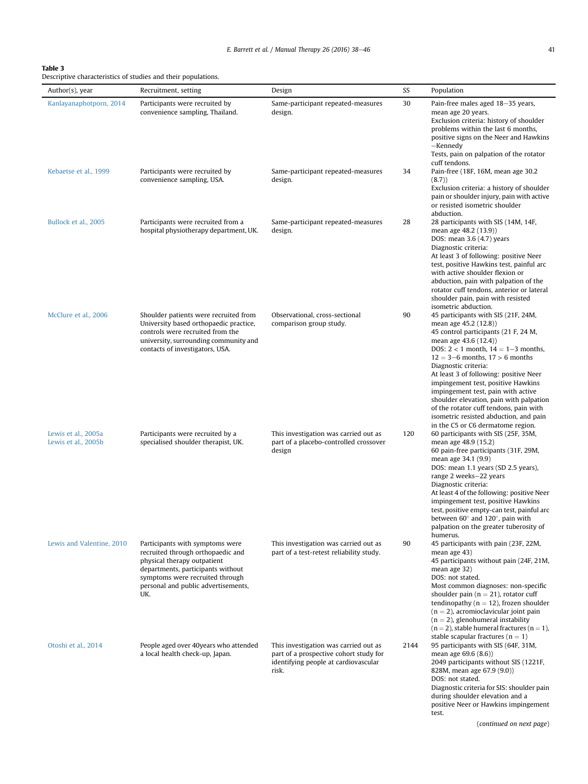# <span id="page-3-0"></span>Table 3

**DESCRIPT CONTROLLER CONTROLLER CONTROLLER CONTROLLER CONTROLLER CONTROLLER CONTROLLER CONTROLLER CONTROLLER CONTROLLER CONTROLLER CONTROLLER CONTROLLER CONTROLLER CONTROLLER CONTROLLER CONTROLLER CONTROLLER CONTROLLER CON** 

| Author(s), year                            | Recruitment, setting                                                                                                                                                                                                      | Design                                                                                                                           | SS   | Population                                                                                                                                                                                                                                                                                                                                                                                                                                                                                                                          |
|--------------------------------------------|---------------------------------------------------------------------------------------------------------------------------------------------------------------------------------------------------------------------------|----------------------------------------------------------------------------------------------------------------------------------|------|-------------------------------------------------------------------------------------------------------------------------------------------------------------------------------------------------------------------------------------------------------------------------------------------------------------------------------------------------------------------------------------------------------------------------------------------------------------------------------------------------------------------------------------|
| Kanlayanaphotporn, 2014                    | Participants were recruited by<br>convenience sampling, Thailand.                                                                                                                                                         | Same-participant repeated-measures<br>design.                                                                                    | 30   | Pain-free males aged 18–35 years,<br>mean age 20 years.<br>Exclusion criteria: history of shoulder<br>problems within the last 6 months,<br>positive signs on the Neer and Hawkins<br>-Kennedy<br>Tests, pain on palpation of the rotator                                                                                                                                                                                                                                                                                           |
| Kebaetse et al., 1999                      | Participants were recruited by<br>convenience sampling, USA.                                                                                                                                                              | Same-participant repeated-measures<br>design.                                                                                    | 34   | cuff tendons.<br>Pain-free (18F, 16M, mean age 30.2<br>(8.7)<br>Exclusion criteria: a history of shoulder<br>pain or shoulder injury, pain with active<br>or resisted isometric shoulder<br>abduction.                                                                                                                                                                                                                                                                                                                              |
| Bullock et al., 2005                       | Participants were recruited from a<br>hospital physiotherapy department, UK.                                                                                                                                              | Same-participant repeated-measures<br>design.                                                                                    | 28   | 28 participants with SIS (14M, 14F,<br>mean age 48.2 (13.9))<br>DOS: mean 3.6 (4.7) years<br>Diagnostic criteria:<br>At least 3 of following: positive Neer<br>test, positive Hawkins test, painful arc<br>with active shoulder flexion or<br>abduction, pain with palpation of the<br>rotator cuff tendons, anterior or lateral<br>shoulder pain, pain with resisted<br>isometric abduction.                                                                                                                                       |
| McClure et al., 2006                       | Shoulder patients were recruited from<br>University based orthopaedic practice,<br>controls were recruited from the<br>university, surrounding community and<br>contacts of investigators, USA.                           | Observational, cross-sectional<br>comparison group study.                                                                        | 90   | 45 participants with SIS (21F, 24M,<br>mean age 45.2 (12.8))<br>45 control participants (21 F, 24 M,<br>mean age 43.6 (12.4))<br>DOS: $2 < 1$ month, $14 = 1 - 3$ months,<br>$12 = 3 - 6$ months, $17 > 6$ months<br>Diagnostic criteria:<br>At least 3 of following: positive Neer<br>impingement test, positive Hawkins<br>impingement test, pain with active<br>shoulder elevation, pain with palpation<br>of the rotator cuff tendons, pain with<br>isometric resisted abduction, and pain<br>in the C5 or C6 dermatome region. |
| Lewis et al., 2005a<br>Lewis et al., 2005b | Participants were recruited by a<br>specialised shoulder therapist, UK.                                                                                                                                                   | This investigation was carried out as<br>part of a placebo-controlled crossover<br>design                                        | 120  | 60 participants with SIS (25F, 35M,<br>mean age 48.9 (15.2)<br>60 pain-free participants (31F, 29M,<br>mean age 34.1 (9.9)<br>DOS: mean 1.1 years (SD 2.5 years),<br>range 2 weeks-22 years<br>Diagnostic criteria:<br>At least 4 of the following: positive Neer<br>impingement test, positive Hawkins<br>test, positive empty-can test, painful arc<br>between $60^\circ$ and $120^\circ$ , pain with<br>palpation on the greater tuberosity of<br>humerus.                                                                       |
| Lewis and Valentine, 2010                  | Participants with symptoms were<br>recruited through orthopaedic and<br>physical therapy outpatient<br>departments, participants without<br>symptoms were recruited through<br>personal and public advertisements,<br>UK. | This investigation was carried out as<br>part of a test-retest reliability study.                                                | 90   | 45 participants with pain (23F, 22M,<br>mean age 43)<br>45 participants without pain (24F, 21M,<br>mean age 32)<br>DOS: not stated.<br>Most common diagnoses: non-specific<br>shoulder pain ( $n = 21$ ), rotator cuff<br>tendinopathy ( $n = 12$ ), frozen shoulder<br>$(n = 2)$ , acromioclavicular joint pain<br>$(n = 2)$ , glenohumeral instability<br>$(n = 2)$ , stable humeral fractures $(n = 1)$ ,<br>stable scapular fractures ( $n = 1$ )                                                                               |
| Otoshi et al., 2014                        | People aged over 40 years who attended<br>a local health check-up, Japan.                                                                                                                                                 | This investigation was carried out as<br>part of a prospective cohort study for<br>identifying people at cardiovascular<br>risk. | 2144 | 95 participants with SIS (64F, 31M,<br>mean age 69.6 (8.6))<br>2049 participants without SIS (1221F,<br>828M, mean age 67.9 (9.0))<br>DOS: not stated.<br>Diagnostic criteria for SIS: shoulder pain<br>during shoulder elevation and a<br>positive Neer or Hawkins impingement<br>test.                                                                                                                                                                                                                                            |

(continued on next page)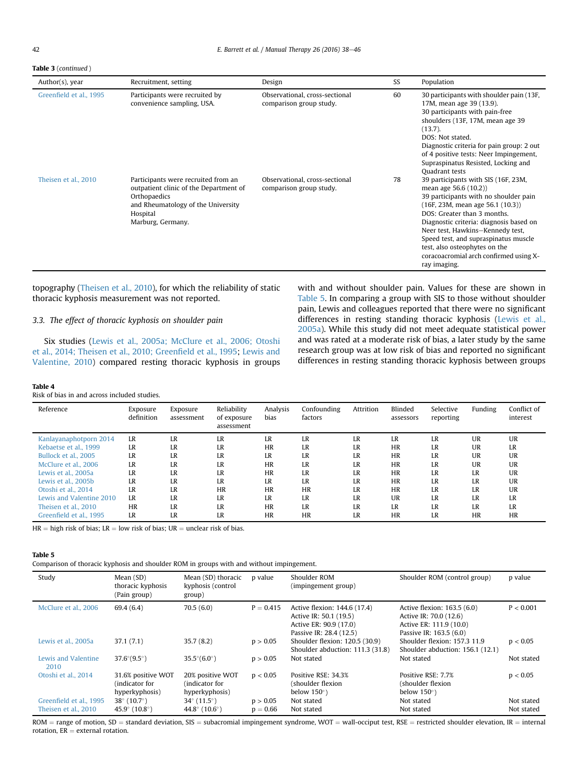<span id="page-4-0"></span>Table 3 (continued )

| $Author(s)$ , year      | Recruitment, setting                                                                                                                                                 | Design                                                    | SS | Population                                                                                                                                                                                                                                                                                                                                                                                      |
|-------------------------|----------------------------------------------------------------------------------------------------------------------------------------------------------------------|-----------------------------------------------------------|----|-------------------------------------------------------------------------------------------------------------------------------------------------------------------------------------------------------------------------------------------------------------------------------------------------------------------------------------------------------------------------------------------------|
| Greenfield et al., 1995 | Participants were recruited by<br>convenience sampling, USA.                                                                                                         | Observational, cross-sectional<br>comparison group study. | 60 | 30 participants with shoulder pain (13F,<br>17M, mean age 39 (13.9).<br>30 participants with pain-free<br>shoulders (13F, 17M, mean age 39<br>$(13.7)$ .<br>DOS: Not stated.<br>Diagnostic criteria for pain group: 2 out<br>of 4 positive tests: Neer Impingement,<br>Supraspinatus Resisted, Locking and<br>Quadrant tests                                                                    |
| Theisen et al., 2010    | Participants were recruited from an<br>outpatient clinic of the Department of<br>Orthopaedics<br>and Rheumatology of the University<br>Hospital<br>Marburg, Germany. | Observational, cross-sectional<br>comparison group study. | 78 | 39 participants with SIS (16F, 23M,<br>mean age 56.6 (10.2))<br>39 participants with no shoulder pain<br>$(16F, 23M,$ mean age 56.1 $(10.3)$ )<br>DOS: Greater than 3 months.<br>Diagnostic criteria: diagnosis based on<br>Neer test, Hawkins-Kennedy test,<br>Speed test, and supraspinatus muscle<br>test, also osteophytes on the<br>coracoacromial arch confirmed using X-<br>ray imaging. |

topography ([Theisen et al., 2010](#page-7-0)), for which the reliability of static thoracic kyphosis measurement was not reported.

#### 3.3. The effect of thoracic kyphosis on shoulder pain

Six studies [\(Lewis et al., 2005a; McClure et al., 2006; Otoshi](#page-7-0) [et al., 2014; Theisen et al., 2010; Green](#page-7-0)field et al., 1995; [Lewis and](#page-7-0) [Valentine, 2010](#page-7-0)) compared resting thoracic kyphosis in groups

#### Table 4

Risk of bias in and across included studies.

with and without shoulder pain. Values for these are shown in Table 5. In comparing a group with SIS to those without shoulder pain, Lewis and colleagues reported that there were no significant differences in resting standing thoracic kyphosis [\(Lewis et al.,](#page-7-0) [2005a](#page-7-0)). While this study did not meet adequate statistical power and was rated at a moderate risk of bias, a later study by the same research group was at low risk of bias and reported no significant differences in resting standing thoracic kyphosis between groups

| Reference                | Exposure<br>definition | Exposure<br>assessment | Reliability<br>of exposure<br>assessment | Analysis<br>bias | Confounding<br>factors | Attrition | Blinded<br>assessors | Selective<br>reporting | Funding   | Conflict of<br>interest |
|--------------------------|------------------------|------------------------|------------------------------------------|------------------|------------------------|-----------|----------------------|------------------------|-----------|-------------------------|
| Kanlayanaphotporn 2014   | LR                     | LR                     | LR                                       | LR               | LR                     | LR        | LR                   | LR                     | UR        | UR                      |
| Kebaetse et al., 1999    | LR                     | LR                     | LR                                       | HR               | LR                     | <b>LR</b> | <b>HR</b>            | LR                     | <b>UR</b> | LR                      |
| Bullock et al., 2005     | LR                     | LR                     | LR                                       | LR               | LR                     | LR        | <b>HR</b>            | LR                     | UR        | <b>UR</b>               |
| McClure et al., 2006     | LR                     | LR                     | LR                                       | <b>HR</b>        | LR                     | LR        | <b>HR</b>            | LR                     | UR        | <b>UR</b>               |
| Lewis et al., 2005a      | LR                     | LR                     | LR                                       | <b>HR</b>        | LR                     | LR        | <b>HR</b>            | LR                     | LR        | <b>UR</b>               |
| Lewis et al., 2005b      | LR                     | LR                     | LR.                                      | LR               | LR                     | LR.       | <b>HR</b>            | LR                     | LR.       | <b>UR</b>               |
| Otoshi et al., 2014      | LR                     | LR                     | <b>HR</b>                                | <b>HR</b>        | <b>HR</b>              | LR        | <b>HR</b>            | LR                     | LR        | <b>UR</b>               |
| Lewis and Valentine 2010 | LR                     | LR                     | LR                                       | LR               | LR                     | LR        | UR                   | LR                     | LR        | LR                      |
| Theisen et al., 2010     | <b>HR</b>              | LR                     | LR                                       | <b>HR</b>        | LR                     | LR        | LR                   | LR                     | LR        | LR                      |
| Greenfield et al., 1995  | LR.                    | LR                     | LR                                       | <b>HR</b>        | <b>HR</b>              | LR        | <b>HR</b>            | LR                     | <b>HR</b> | <b>HR</b>               |

 $HR = h$ igh risk of bias; LR = low risk of bias; UR = unclear risk of bias.

#### Table 5

| таріє э                                                                                 |  |
|-----------------------------------------------------------------------------------------|--|
| Comparison of thoracic kyphosis and shoulder ROM in groups with and without impingement |  |

| Study                                           | Mean $(SD)$<br>thoracic kyphosis<br>(Pain group)                       | Mean (SD) thoracic<br>kyphosis (control<br>group)          | p value                | Shoulder ROM<br>(impingement group)                                                                         | Shoulder ROM (control group)                                                                                | p value                  |
|-------------------------------------------------|------------------------------------------------------------------------|------------------------------------------------------------|------------------------|-------------------------------------------------------------------------------------------------------------|-------------------------------------------------------------------------------------------------------------|--------------------------|
| McClure et al., 2006                            | 69.4 (6.4)                                                             | 70.5(6.0)                                                  | $P = 0.415$            | Active flexion: 144.6 (17.4)<br>Active IR: 50.1 (19.5)<br>Active ER: 90.9 (17.0)<br>Passive IR: 28.4 (12.5) | Active flexion: 163.5 (6.0)<br>Active IR: 70.0 (12.6)<br>Active ER: 111.9 (10.0)<br>Passive IR: 163.5 (6.0) | P < 0.001                |
| Lewis et al., 2005a                             | 37.1(7.1)                                                              | 35.7(8.2)                                                  | p > 0.05               | Shoulder flexion: 120.5 (30.9)<br>Shoulder abduction: 111.3 (31.8)                                          | Shoulder flexion: 157.3 11.9<br>Shoulder abduction: 156.1 (12.1)                                            | p < 0.05                 |
| Lewis and Valentine<br>2010                     | $37.6^{\circ}(9.5^{\circ})$                                            | $35.5^{\circ}(6.0^{\circ})$                                | p > 0.05               | Not stated                                                                                                  | Not stated                                                                                                  | Not stated               |
| Otoshi et al., 2014                             | 31.6% positive WOT<br>(indicator for<br>hyperkyphosis)                 | 20% positive WOT<br>indicator for)<br>hyperkyphosis)       | p < 0.05               | Positive RSE: 34.3%<br>(shoulder flexion<br>below $150^\circ$ )                                             | Positive RSE: 7.7%<br>(shoulder flexion)<br>below $150^\circ$ )                                             | p < 0.05                 |
| Greenfield et al., 1995<br>Theisen et al., 2010 | 38 $^{\circ}$ (10.7 $^{\circ}$ )<br>45.9 $^{\circ}$ (10.8 $^{\circ}$ ) | $34^{\circ}$ (11.5°)<br>44.8 $^{\circ}$ (10.6 $^{\circ}$ ) | p > 0.05<br>$p = 0.66$ | Not stated<br>Not stated                                                                                    | Not stated<br>Not stated                                                                                    | Not stated<br>Not stated |

 $ROM = range$  of motion,  $SD = standard$  deviation,  $SIS = subacromial$  impingement syndrome, WOT = wall-occiput test, RSE = restricted shoulder elevation, IR = internal rotation,  $ER$  = external rotation.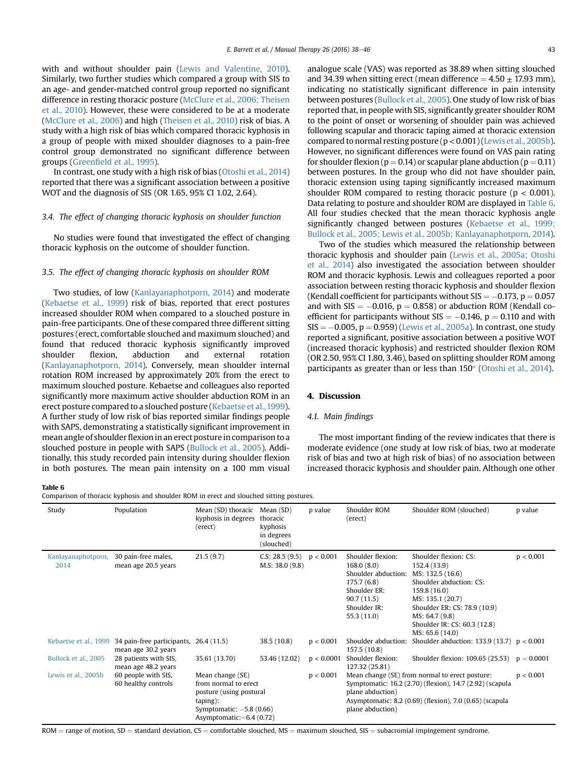with and without shoulder pain ([Lewis and Valentine, 2010\)](#page-7-0). Similarly, two further studies which compared a group with SIS to an age- and gender-matched control group reported no significant difference in resting thoracic posture [\(McClure et al., 2006; Theisen](#page-7-0) [et al., 2010\)](#page-7-0). However, these were considered to be at a moderate ([McClure et al., 2006](#page-7-0)) and high [\(Theisen et al., 2010](#page-7-0)) risk of bias. A study with a high risk of bias which compared thoracic kyphosis in a group of people with mixed shoulder diagnoses to a pain-free control group demonstrated no significant difference between groups (Greenfi[eld et al., 1995](#page-7-0)).

In contrast, one study with a high risk of bias ([Otoshi et al., 2014\)](#page-7-0) reported that there was a significant association between a positive WOT and the diagnosis of SIS (OR 1.65, 95% CI 1.02, 2.64).

#### 3.4. The effect of changing thoracic kyphosis on shoulder function

No studies were found that investigated the effect of changing thoracic kyphosis on the outcome of shoulder function.

### 3.5. The effect of changing thoracic kyphosis on shoulder ROM

Two studies, of low [\(Kanlayanaphotporn, 2014\)](#page-7-0) and moderate ([Kebaetse et al., 1999](#page-7-0)) risk of bias, reported that erect postures increased shoulder ROM when compared to a slouched posture in pain-free participants. One of these compared three different sitting postures (erect, comfortable slouched and maximum slouched) and found that reduced thoracic kyphosis significantly improved shoulder flexion, abduction and external rotation ([Kanlayanaphotporn, 2014](#page-7-0)). Conversely, mean shoulder internal rotation ROM increased by approximately 20% from the erect to maximum slouched posture. Kebaetse and colleagues also reported significantly more maximum active shoulder abduction ROM in an erect posture compared to a slouched posture [\(Kebaetse et al.,1999\)](#page-7-0). A further study of low risk of bias reported similar findings people with SAPS, demonstrating a statistically significant improvement in mean angle of shoulder flexion in an erect posture in comparison to a slouched posture in people with SAPS ([Bullock et al., 2005](#page-7-0)). Additionally, this study recorded pain intensity during shoulder flexion in both postures. The mean pain intensity on a 100 mm visual analogue scale (VAS) was reported as 38.89 when sitting slouched and 34.39 when sitting erect (mean difference  $= 4.50 \pm 17.93$  mm), indicating no statistically significant difference in pain intensity between postures ([Bullock et al., 2005](#page-7-0)). One study of low risk of bias reported that, in people with SIS, significantly greater shoulder ROM to the point of onset or worsening of shoulder pain was achieved following scapular and thoracic taping aimed at thoracic extension compared to normal resting posture  $(p < 0.001)$  [\(Lewis et al., 2005b\)](#page-7-0). However, no significant differences were found on VAS pain rating for shoulder flexion ( $p = 0.14$ ) or scapular plane abduction ( $p = 0.11$ ) between postures. In the group who did not have shoulder pain, thoracic extension using taping significantly increased maximum shoulder ROM compared to resting thoracic posture ( $p < 0.001$ ). Data relating to posture and shoulder ROM are displayed in Table 6. All four studies checked that the mean thoracic kyphosis angle significantly changed between postures [\(Kebaetse et al., 1999;](#page-7-0) [Bullock et al., 2005; Lewis et al., 2005b; Kanlayanaphotporn, 2014\)](#page-7-0).

Two of the studies which measured the relationship between thoracic kyphosis and shoulder pain ([Lewis et al., 2005a; Otoshi](#page-7-0) [et al., 2014](#page-7-0)) also investigated the association between shoulder ROM and thoracic kyphosis. Lewis and colleagues reported a poor association between resting thoracic kyphosis and shoulder flexion (Kendall coefficient for participants without  $SIS = -0.173$ , p = 0.057 and with  $SIS = -0.016$ ,  $p = 0.858$ ) or abduction ROM (Kendall coefficient for participants without  $SIS = -0.146$ , p = 0.110 and with  $SIS = -0.005$ ,  $p = 0.959$ ) [\(Lewis et al., 2005a](#page-7-0)). In contrast, one study reported a significant, positive association between a positive WOT (increased thoracic kyphosis) and restricted shoulder flexion ROM (OR 2.50, 95% CI 1.80, 3.46), based on splitting shoulder ROM among participants as greater than or less than  $150^\circ$  ([Otoshi et al., 2014\)](#page-7-0).

#### 4. Discussion

#### 4.1. Main findings

The most important finding of the review indicates that there is moderate evidence (one study at low risk of bias, two at moderate risk of bias and two at high risk of bias) of no association between increased thoracic kyphosis and shoulder pain. Although one other

#### Table 6

Comparison of thoracic kyphosis and shoulder ROM in erect and slouched sitting postures.

| Study                      | Population                                        | Mean (SD) thoracic<br>kyphosis in degrees<br>(erect)                                                                                       | Mean (SD)<br>thoracic<br>kyphosis<br>in degrees<br>(slouched) | p value    | Shoulder ROM<br>(erect)                                                                                                           | Shoulder ROM (slouched)                                                                                                                                                                                                       | p value      |
|----------------------------|---------------------------------------------------|--------------------------------------------------------------------------------------------------------------------------------------------|---------------------------------------------------------------|------------|-----------------------------------------------------------------------------------------------------------------------------------|-------------------------------------------------------------------------------------------------------------------------------------------------------------------------------------------------------------------------------|--------------|
| Kanlayanaphotporn,<br>2014 | 30 pain-free males,<br>mean age 20.5 years        | 21.5(9.7)                                                                                                                                  | C.S: 28.5(9.5)<br>M.S: 38.0(9.8)                              | p < 0.001  | Shoulder flexion:<br>168.0(8.0)<br>Shoulder abduction:<br>175.7(6.8)<br>Shoulder ER:<br>90.7(11.5)<br>Shoulder IR:<br>55.3 (11.0) | Shoulder flexion: CS:<br>152.4 (13.9)<br>MS: 132.5 (16.6)<br>Shoulder abduction: CS:<br>159.8 (16.0)<br>MS: 135.1 (20.7)<br>Shoulder ER: CS: 78.9 (10.9)<br>MS: 64.7 (9.8)<br>Shoulder IR: CS: 60.3 (12.8)<br>MS: 65.6 (14.0) | p < 0.001    |
| Kebaetse et al., 1999      | 34 pain-free participants,<br>mean age 30.2 years | 26.4(11.5)                                                                                                                                 | 38.5 (10.8)                                                   | p < 0.001  | Shoulder abduction:<br>157.5 (10.8)                                                                                               | Shoulder abduction: 133.9 (13.7) $p < 0.001$                                                                                                                                                                                  |              |
| Bullock et al., 2005       | 28 patients with SIS,<br>mean age 48.2 years      | 35.61 (13.70)                                                                                                                              | 53.46 (12.02)                                                 | p < 0.0001 | Shoulder flexion:<br>127.32 (25.81)                                                                                               | Shoulder flexion: 109.65 (25.53)                                                                                                                                                                                              | $p = 0.0001$ |
| Lewis et al., 2005b        | 60 people with SIS,<br>60 healthy controls        | Mean change (SE)<br>from normal to erect<br>posture (using postural<br>taping):<br>Symptomatic: $-5.8$ (0.66)<br>Asymptomatic: -6.4 (0.72) |                                                               | p < 0.001  | plane abduction)<br>plane abduction)                                                                                              | Mean change (SE) from normal to erect posture:<br>Symptomatic: 16.2 (2.70) (flexion), 14.7 (2.92) (scapula<br>Asymptomatic: 8.2 (0.69) (flexion), 7.0 (0.65) (scapula                                                         | p < 0.001    |

 $ROM = range of motion, SD = standard deviation, CS = comfortable$  slouched,  $MS = maximum$  slouched,  $SS = subacromial$  impingement syndrome.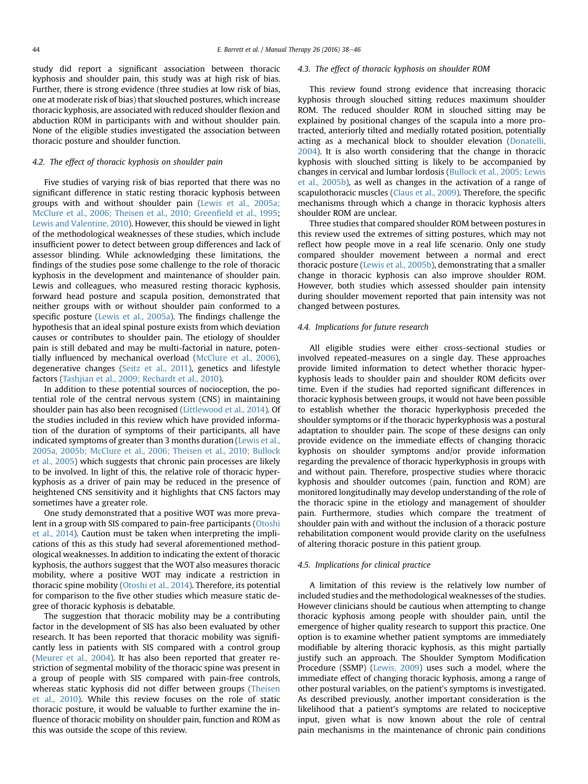study did report a significant association between thoracic kyphosis and shoulder pain, this study was at high risk of bias. Further, there is strong evidence (three studies at low risk of bias, one at moderate risk of bias) that slouched postures, which increase thoracic kyphosis, are associated with reduced shoulder flexion and abduction ROM in participants with and without shoulder pain. None of the eligible studies investigated the association between thoracic posture and shoulder function.

#### 4.2. The effect of thoracic kyphosis on shoulder pain

Five studies of varying risk of bias reported that there was no significant difference in static resting thoracic kyphosis between groups with and without shoulder pain [\(Lewis et al., 2005a;](#page-7-0) [McClure et al., 2006; Theisen et al., 2010; Green](#page-7-0)field et al., 1995; [Lewis and Valentine, 2010\)](#page-7-0). However, this should be viewed in light of the methodological weaknesses of these studies, which include insufficient power to detect between group differences and lack of assessor blinding. While acknowledging these limitations, the findings of the studies pose some challenge to the role of thoracic kyphosis in the development and maintenance of shoulder pain. Lewis and colleagues, who measured resting thoracic kyphosis, forward head posture and scapula position, demonstrated that neither groups with or without shoulder pain conformed to a specific posture ([Lewis et al., 2005a](#page-7-0)). The findings challenge the hypothesis that an ideal spinal posture exists from which deviation causes or contributes to shoulder pain. The etiology of shoulder pain is still debated and may be multi-factorial in nature, potentially influenced by mechanical overload ([McClure et al., 2006\)](#page-7-0), degenerative changes ([Seitz et al., 2011\)](#page-7-0), genetics and lifestyle factors ([Tashjian et al., 2009; Rechardt et al., 2010](#page-7-0)).

In addition to these potential sources of nocioception, the potential role of the central nervous system (CNS) in maintaining shoulder pain has also been recognised [\(Littlewood et al., 2014](#page-7-0)). Of the studies included in this review which have provided information of the duration of symptoms of their participants, all have indicated symptoms of greater than 3 months duration [\(Lewis et al.,](#page-7-0) [2005a, 2005b; McClure et al., 2006; Theisen et al., 2010; Bullock](#page-7-0) [et al., 2005](#page-7-0)) which suggests that chronic pain processes are likely to be involved. In light of this, the relative role of thoracic hyperkyphosis as a driver of pain may be reduced in the presence of heightened CNS sensitivity and it highlights that CNS factors may sometimes have a greater role.

One study demonstrated that a positive WOT was more prevalent in a group with SIS compared to pain-free participants [\(Otoshi](#page-7-0) [et al., 2014\)](#page-7-0). Caution must be taken when interpreting the implications of this as this study had several aforementioned methodological weaknesses. In addition to indicating the extent of thoracic kyphosis, the authors suggest that the WOT also measures thoracic mobility, where a positive WOT may indicate a restriction in thoracic spine mobility ([Otoshi et al., 2014](#page-7-0)). Therefore, its potential for comparison to the five other studies which measure static degree of thoracic kyphosis is debatable.

The suggestion that thoracic mobility may be a contributing factor in the development of SIS has also been evaluated by other research. It has been reported that thoracic mobility was significantly less in patients with SIS compared with a control group ([Meurer et al., 2004\)](#page-7-0). It has also been reported that greater restriction of segmental mobility of the thoracic spine was present in a group of people with SIS compared with pain-free controls, whereas static kyphosis did not differ between groups ([Theisen](#page-7-0) [et al., 2010\)](#page-7-0). While this review focuses on the role of static thoracic posture, it would be valuable to further examine the influence of thoracic mobility on shoulder pain, function and ROM as this was outside the scope of this review.

#### 4.3. The effect of thoracic kyphosis on shoulder ROM

This review found strong evidence that increasing thoracic kyphosis through slouched sitting reduces maximum shoulder ROM. The reduced shoulder ROM in slouched sitting may be explained by positional changes of the scapula into a more protracted, anteriorly tilted and medially rotated position, potentially acting as a mechanical block to shoulder elevation ([Donatelli,](#page-7-0) [2004](#page-7-0)). It is also worth considering that the change in thoracic kyphosis with slouched sitting is likely to be accompanied by changes in cervical and lumbar lordosis [\(Bullock et al., 2005; Lewis](#page-7-0) [et al., 2005b](#page-7-0)), as well as changes in the activation of a range of scapulothoracic muscles ([Claus et al., 2009](#page-7-0)). Therefore, the specific mechanisms through which a change in thoracic kyphosis alters shoulder ROM are unclear.

Three studies that compared shoulder ROM between postures in this review used the extremes of sitting postures, which may not reflect how people move in a real life scenario. Only one study compared shoulder movement between a normal and erect thoracic posture ([Lewis et al., 2005b\)](#page-7-0), demonstrating that a smaller change in thoracic kyphosis can also improve shoulder ROM. However, both studies which assessed shoulder pain intensity during shoulder movement reported that pain intensity was not changed between postures.

#### 4.4. Implications for future research

All eligible studies were either cross-sectional studies or involved repeated-measures on a single day. These approaches provide limited information to detect whether thoracic hyperkyphosis leads to shoulder pain and shoulder ROM deficits over time. Even if the studies had reported significant differences in thoracic kyphosis between groups, it would not have been possible to establish whether the thoracic hyperkyphosis preceded the shoulder symptoms or if the thoracic hyperkyphosis was a postural adaptation to shoulder pain. The scope of these designs can only provide evidence on the immediate effects of changing thoracic kyphosis on shoulder symptoms and/or provide information regarding the prevalence of thoracic hyperkyphosis in groups with and without pain. Therefore, prospective studies where thoracic kyphosis and shoulder outcomes (pain, function and ROM) are monitored longitudinally may develop understanding of the role of the thoracic spine in the etiology and management of shoulder pain. Furthermore, studies which compare the treatment of shoulder pain with and without the inclusion of a thoracic posture rehabilitation component would provide clarity on the usefulness of altering thoracic posture in this patient group.

#### 4.5. Implications for clinical practice

A limitation of this review is the relatively low number of included studies and the methodological weaknesses of the studies. However clinicians should be cautious when attempting to change thoracic kyphosis among people with shoulder pain, until the emergence of higher quality research to support this practice. One option is to examine whether patient symptoms are immediately modifiable by altering thoracic kyphosis, as this might partially justify such an approach. The Shoulder Symptom Modification Procedure (SSMP) [\(Lewis, 2009\)](#page-7-0) uses such a model, where the immediate effect of changing thoracic kyphosis, among a range of other postural variables, on the patient's symptoms is investigated. As described previously, another important consideration is the likelihood that a patient's symptoms are related to nociceptive input, given what is now known about the role of central pain mechanisms in the maintenance of chronic pain conditions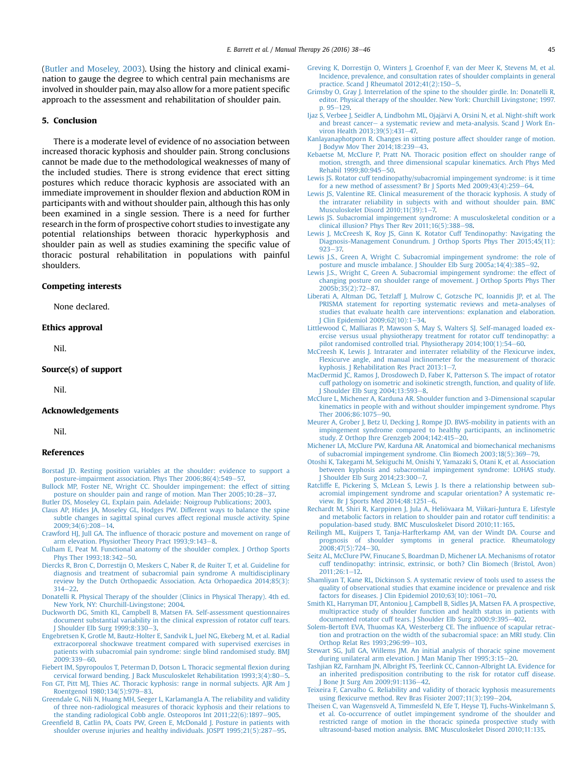<span id="page-7-0"></span>(Butler and Moseley, 2003). Using the history and clinical examination to gauge the degree to which central pain mechanisms are involved in shoulder pain, may also allow for a more patient specific approach to the assessment and rehabilitation of shoulder pain.

# 5. Conclusion

There is a moderate level of evidence of no association between increased thoracic kyphosis and shoulder pain. Strong conclusions cannot be made due to the methodological weaknesses of many of the included studies. There is strong evidence that erect sitting postures which reduce thoracic kyphosis are associated with an immediate improvement in shoulder flexion and abduction ROM in participants with and without shoulder pain, although this has only been examined in a single session. There is a need for further research in the form of prospective cohort studies to investigate any potential relationships between thoracic hyperkyphosis and shoulder pain as well as studies examining the specific value of thoracic postural rehabilitation in populations with painful shoulders.

#### Competing interests

None declared.

#### Ethics approval

Nil.

#### Source(s) of support

Nil.

#### Acknowledgements

Nil.

#### References

- [Borstad JD. Resting position variables at the shoulder: evidence to support a](http://refhub.elsevier.com/S1356-689X(16)30687-7/sref5) [posture-impairment association. Phys Ther 2006;86\(4\):549](http://refhub.elsevier.com/S1356-689X(16)30687-7/sref5)-[57.](http://refhub.elsevier.com/S1356-689X(16)30687-7/sref5)
- [Bullock MP, Foster NE, Wright CC. Shoulder impingement: the effect of sitting](http://refhub.elsevier.com/S1356-689X(16)30687-7/sref6) [posture on shoulder pain and range of motion. Man Ther 2005;10:28](http://refhub.elsevier.com/S1356-689X(16)30687-7/sref6)-[37.](http://refhub.elsevier.com/S1356-689X(16)30687-7/sref6)
- [Butler DS, Moseley GL. Explain pain. Adelaide: Noigroup Publications; 2003](http://refhub.elsevier.com/S1356-689X(16)30687-7/sref7). [Claus AP, Hides JA, Moseley GL, Hodges PW. Different ways to balance the spine](http://refhub.elsevier.com/S1356-689X(16)30687-7/sref8) [subtle changes in sagittal spinal curves affect regional muscle activity. Spine](http://refhub.elsevier.com/S1356-689X(16)30687-7/sref8)  $2009.34(6)$ :208-[14](http://refhub.elsevier.com/S1356-689X(16)30687-7/sref8)
- Crawford HJ, Jull GA. The infl[uence of thoracic posture and movement on range of](http://refhub.elsevier.com/S1356-689X(16)30687-7/sref9) [arm elevation. Physiother Theory Pract 1993;9:143](http://refhub.elsevier.com/S1356-689X(16)30687-7/sref9)-[8](http://refhub.elsevier.com/S1356-689X(16)30687-7/sref9).
- [Culham E, Peat M. Functional anatomy of the shoulder complex. J Orthop Sports](http://refhub.elsevier.com/S1356-689X(16)30687-7/sref10) Phys Ther 1993:18:342-[50](http://refhub.elsevier.com/S1356-689X(16)30687-7/sref10).
- [Diercks R, Bron C, Dorrestijn O, Meskers C, Naber R, de Ruiter T, et al. Guideline for](http://refhub.elsevier.com/S1356-689X(16)30687-7/sref11) [diagnosis and treatment of subacromial pain syndrome A multidisciplinary](http://refhub.elsevier.com/S1356-689X(16)30687-7/sref11) [review by the Dutch Orthopaedic Association. Acta Orhopaedica 2014;85\(3\):](http://refhub.elsevier.com/S1356-689X(16)30687-7/sref11)  $314 - 22$  $314 - 22$
- [Donatelli R. Physical Therapy of the shoulder \(Clinics in Physical Therapy\). 4th ed.](http://refhub.elsevier.com/S1356-689X(16)30687-7/sref12) [New York, NY: Churchill-Livingstone; 2004.](http://refhub.elsevier.com/S1356-689X(16)30687-7/sref12)
- [Duckworth DG, Smith KL, Campbell B, Matsen FA. Self-assessment questionnaires](http://refhub.elsevier.com/S1356-689X(16)30687-7/sref13) [document substantial variability in the clinical expression of rotator cuff tears.](http://refhub.elsevier.com/S1356-689X(16)30687-7/sref13) [J Shoulder Elb Surg 1999;8:330](http://refhub.elsevier.com/S1356-689X(16)30687-7/sref13)-[3.](http://refhub.elsevier.com/S1356-689X(16)30687-7/sref13)
- [Engebretsen K, Grotle M, Bautz-Holter E, Sandvik L, Juel NG, Ekeberg M, et al. Radial](http://refhub.elsevier.com/S1356-689X(16)30687-7/sref14) [extracorporeal shockwave treatment compared with supervised exercises in](http://refhub.elsevier.com/S1356-689X(16)30687-7/sref14) [patients with subacromial pain syndrome: single blind randomised study. BMJ](http://refhub.elsevier.com/S1356-689X(16)30687-7/sref14)  $2009:339 - 60.$  $2009:339 - 60.$  $2009:339 - 60.$  $2009:339 - 60.$
- [Fiebert IM, Spyropoulos T, Peterman D, Dotson L. Thoracic segmental](http://refhub.elsevier.com/S1356-689X(16)30687-7/sref15) flexion during [cervical forward bending. J Back Musculoskelet Rehabilitation 1993;3\(4\):80](http://refhub.elsevier.com/S1356-689X(16)30687-7/sref15)-[5](http://refhub.elsevier.com/S1356-689X(16)30687-7/sref15).
- [Fon GT, Pitt MJ, Thies AC. Thoracic kyphosis: range in normal subjects. AJR Am J](http://refhub.elsevier.com/S1356-689X(16)30687-7/sref48) [Roentgenol 1980;134\(5\):979](http://refhub.elsevier.com/S1356-689X(16)30687-7/sref48)-[83.](http://refhub.elsevier.com/S1356-689X(16)30687-7/sref48)
- [Greendale G, Nili N, Huang MH, Seeger L, Karlamangla A. The reliability and validity](http://refhub.elsevier.com/S1356-689X(16)30687-7/sref16) [of three non-radiological measures of thoracic kyphosis and their relations to](http://refhub.elsevier.com/S1356-689X(16)30687-7/sref16) [the standing radiological Cobb angle. Osteoporos Int 2011;22\(6\):1897](http://refhub.elsevier.com/S1356-689X(16)30687-7/sref16)-[905.](http://refhub.elsevier.com/S1356-689X(16)30687-7/sref16)
- Greenfi[eld B, Catlin PA, Coats PW, Green E, McDonald J. Posture in patients with](http://refhub.elsevier.com/S1356-689X(16)30687-7/sref17) [shoulder overuse injuries and healthy individuals. JOSPT 1995;21\(5\):287](http://refhub.elsevier.com/S1356-689X(16)30687-7/sref17)-[95](http://refhub.elsevier.com/S1356-689X(16)30687-7/sref17).
- [Greving K, Dorrestijn O, Winters J, Groenhof F, van der Meer K, Stevens M, et al.](http://refhub.elsevier.com/S1356-689X(16)30687-7/sref18) [Incidence, prevalence, and consultation rates of shoulder complaints in general](http://refhub.elsevier.com/S1356-689X(16)30687-7/sref18) [practice. Scand J Rheumatol 2012;41\(2\):150](http://refhub.elsevier.com/S1356-689X(16)30687-7/sref18)-[5](http://refhub.elsevier.com/S1356-689X(16)30687-7/sref18).
- [Grimsby O, Gray J. Interrelation of the spine to the shoulder girdle. In: Donatelli R,](http://refhub.elsevier.com/S1356-689X(16)30687-7/sref19) [editor. Physical therapy of the shoulder. New York: Churchill Livingstone; 1997.](http://refhub.elsevier.com/S1356-689X(16)30687-7/sref19)  $p. 95 - 129.$  $p. 95 - 129.$  $p. 95 - 129.$  $p. 95 - 129.$
- [Ijaz S, Verbee J, Seidler A, Lindbohm ML, Ojaj](http://refhub.elsevier.com/S1356-689X(16)30687-7/sref21)ärvi A, Orsini N, et al. Night-shift work [and breast cancer](http://refhub.elsevier.com/S1356-689X(16)30687-7/sref21)- [a systematic review and meta-analysis. Scand J Work En](http://refhub.elsevier.com/S1356-689X(16)30687-7/sref21)viron Health  $2013:39(5):431-47$ .
- [Kanlayanaphotporn R. Changes in sitting posture affect shoulder range of motion.](http://refhub.elsevier.com/S1356-689X(16)30687-7/sref23) I Bodyw Mov Ther 2014:18:239-[43.](http://refhub.elsevier.com/S1356-689X(16)30687-7/sref23)
- [Kebaetse M, McClure P, Pratt NA. Thoracic position effect on shoulder range of](http://refhub.elsevier.com/S1356-689X(16)30687-7/sref24) [motion, strength, and three dimensional scapular kinematics. Arch Phys Med](http://refhub.elsevier.com/S1356-689X(16)30687-7/sref24)  $Re$ habil 1999 $\cdot$ 80 $\cdot$ 945-[50](http://refhub.elsevier.com/S1356-689X(16)30687-7/sref24).
- [Lewis JS. Rotator cuff tendinopathy/subacromial impingement syndrome: is it time](http://refhub.elsevier.com/S1356-689X(16)30687-7/sref49) for a new method of assessment? Br J Sports Med  $2009;43(4):259-64$  $2009;43(4):259-64$ .
- [Lewis JS, Valentine RE. Clinical measurement of the thoracic kyphosis. A study of](http://refhub.elsevier.com/S1356-689X(16)30687-7/sref50) [the intrarater reliability in subjects with and without shoulder pain. BMC](http://refhub.elsevier.com/S1356-689X(16)30687-7/sref50) Musculoskelet Disord 2010:11(39):1-[7.](http://refhub.elsevier.com/S1356-689X(16)30687-7/sref50)
- [Lewis JS. Subacromial impingement syndrome: A musculoskeletal condition or a](http://refhub.elsevier.com/S1356-689X(16)30687-7/sref51) clinical illusion? Phys Ther Rev  $2011;16(5):388-98$ .
- [Lewis J, McCreesh K, Roy JS, Ginn K. Rotator Cuff Tendinopathy: Navigating the](http://refhub.elsevier.com/S1356-689X(16)30687-7/sref52) [Diagnosis-Management Conundrum. J Orthop Sports Phys Ther 2015;45\(11\):](http://refhub.elsevier.com/S1356-689X(16)30687-7/sref52)  $923 - 37$  $923 - 37$
- [Lewis J.S., Green A, Wright C. Subacromial impingement syndrome: the role of](http://refhub.elsevier.com/S1356-689X(16)30687-7/sref2) [posture and muscle imbalance. J Shoulder Elb Surg 2005a;14\(4\):385](http://refhub.elsevier.com/S1356-689X(16)30687-7/sref2)-[92.](http://refhub.elsevier.com/S1356-689X(16)30687-7/sref2)
- [Lewis J.S., Wright C, Green A. Subacromial impingement syndrome: the effect of](http://refhub.elsevier.com/S1356-689X(16)30687-7/sref3) [changing posture on shoulder range of movement. J Orthop Sports Phys Ther](http://refhub.elsevier.com/S1356-689X(16)30687-7/sref3)  $2005b:35(2):72-87.$  $2005b:35(2):72-87.$
- [Liberati A, Altman DG, Tetzlaff J, Mulrow C, Gotzsche PC, Ioannidis JP, et al. The](http://refhub.elsevier.com/S1356-689X(16)30687-7/sref25) [PRISMA statement for reporting systematic reviews and meta-analyses of](http://refhub.elsevier.com/S1356-689X(16)30687-7/sref25) [studies that evaluate health care interventions: explanation and elaboration.](http://refhub.elsevier.com/S1356-689X(16)30687-7/sref25) [J Clin Epidemiol 2009;62\(10\):1](http://refhub.elsevier.com/S1356-689X(16)30687-7/sref25)-[34](http://refhub.elsevier.com/S1356-689X(16)30687-7/sref25).
- [Littlewood C, Malliaras P, Mawson S, May S, Walters SJ. Self-managed loaded ex](http://refhub.elsevier.com/S1356-689X(16)30687-7/sref26)[ercise versus usual physiotherapy treatment for rotator cuff tendinopathy: a](http://refhub.elsevier.com/S1356-689X(16)30687-7/sref26) [pilot randomised controlled trial. Physiotherapy 2014;100\(1\):54](http://refhub.elsevier.com/S1356-689X(16)30687-7/sref26)-[60.](http://refhub.elsevier.com/S1356-689X(16)30687-7/sref26)
- [McCreesh K, Lewis J. Intrarater and interrater reliability of the Flexicurve index,](http://refhub.elsevier.com/S1356-689X(16)30687-7/sref1) [Flexicurve angle, and manual inclinometer for the measurement of thoracic](http://refhub.elsevier.com/S1356-689X(16)30687-7/sref1) [kyphosis. J Rehabilitation Res Pract 2013:1](http://refhub.elsevier.com/S1356-689X(16)30687-7/sref1)-[7.](http://refhub.elsevier.com/S1356-689X(16)30687-7/sref1)
- [MacDermid JC, Ramos J, Drosdowech D, Faber K, Patterson S. The impact of rotator](http://refhub.elsevier.com/S1356-689X(16)30687-7/sref27) [cuff pathology on isometric and isokinetic strength, function, and quality of life.](http://refhub.elsevier.com/S1356-689X(16)30687-7/sref27) [J Shoulder Elb Surg 2004;13:593](http://refhub.elsevier.com/S1356-689X(16)30687-7/sref27)-[8.](http://refhub.elsevier.com/S1356-689X(16)30687-7/sref27)
- [McClure L, Michener A, Karduna AR. Shoulder function and 3-Dimensional scapular](http://refhub.elsevier.com/S1356-689X(16)30687-7/sref28) [kinematics in people with and without shoulder impingement syndrome. Phys](http://refhub.elsevier.com/S1356-689X(16)30687-7/sref28) Ther  $2006:86:1075-90$  $2006:86:1075-90$ .
- [Meurer A, Grober J, Betz U, Decking J, Rompe JD. BWS-mobility in patients with an](http://refhub.elsevier.com/S1356-689X(16)30687-7/sref29) [impingement syndrome compared to healthy participants, an inclinometric](http://refhub.elsevier.com/S1356-689X(16)30687-7/sref29) [study. Z Orthop Ihre Grenzgeb 2004;142:415](http://refhub.elsevier.com/S1356-689X(16)30687-7/sref29)-[20.](http://refhub.elsevier.com/S1356-689X(16)30687-7/sref29)
- [Michener LA, McClure PW, Karduna AR. Anatomical and biomechanical mechanisms](http://refhub.elsevier.com/S1356-689X(16)30687-7/sref30) [of subacromial impingement syndrome. Clin Biomech 2003;18\(5\):369](http://refhub.elsevier.com/S1356-689X(16)30687-7/sref30)-[79](http://refhub.elsevier.com/S1356-689X(16)30687-7/sref30).
- [Otoshi K, Takegami M, Sekiguchi M, Onishi Y, Yamazaki S, Otani K, et al. Association](http://refhub.elsevier.com/S1356-689X(16)30687-7/sref31) [between kyphosis and subacromial impingement syndrome: LOHAS study.](http://refhub.elsevier.com/S1356-689X(16)30687-7/sref31) [J Shoulder Elb Surg 2014;23:300](http://refhub.elsevier.com/S1356-689X(16)30687-7/sref31)-[7.](http://refhub.elsevier.com/S1356-689X(16)30687-7/sref31)
- [Ratcliffe E, Pickering S, McLean S, Lewis J. Is there a relationship between sub](http://refhub.elsevier.com/S1356-689X(16)30687-7/sref33)[acromial impingement syndrome and scapular orientation? A systematic re](http://refhub.elsevier.com/S1356-689X(16)30687-7/sref33)[view. Br J Sports Med 2014;48:1251](http://refhub.elsevier.com/S1356-689X(16)30687-7/sref33)-[6](http://refhub.elsevier.com/S1356-689X(16)30687-7/sref33).
- [Rechardt M, Shiri R, Karppinen J, Jula A, Heli](http://refhub.elsevier.com/S1356-689X(16)30687-7/sref34)ö[vaara M, Viikari-Juntura E. Lifestyle](http://refhub.elsevier.com/S1356-689X(16)30687-7/sref34) [and metabolic factors in relation to shoulder pain and rotator cuff tendinitis: a](http://refhub.elsevier.com/S1356-689X(16)30687-7/sref34) [population-based study. BMC Musculoskelet Disord 2010;11:165.](http://refhub.elsevier.com/S1356-689X(16)30687-7/sref34)
- [Reilingh ML, Kuijpers T, Tanja-Harfterkamp AM, van der Windt DA. Course and](http://refhub.elsevier.com/S1356-689X(16)30687-7/sref35) [prognosis of shoulder symptoms in general practice. Rheumatology](http://refhub.elsevier.com/S1356-689X(16)30687-7/sref35) 2008:47(5):724-[30](http://refhub.elsevier.com/S1356-689X(16)30687-7/sref35).
- [Seitz AL, McClure PW, Finucane S, Boardman D, Michener LA. Mechanisms of rotator](http://refhub.elsevier.com/S1356-689X(16)30687-7/sref36) [cuff tendinopathy: intrinsic, extrinsic, or both? Clin Biomech \(Bristol, Avon\)](http://refhub.elsevier.com/S1356-689X(16)30687-7/sref36)  $2011:26:1-12$  $2011:26:1-12$ .
- [Shamliyan T, Kane RL, Dickinson S. A systematic review of tools used to assess the](http://refhub.elsevier.com/S1356-689X(16)30687-7/sref53) [quality of observational studies that examine incidence or prevalence and risk](http://refhub.elsevier.com/S1356-689X(16)30687-7/sref53) factors for diseases. J Clin Epidemiol  $2010;63(10):1061-70$ .
- [Smith KL, Harryman DT, Antoniou J, Campbell B, Sidles JA, Matsen FA. A prospective,](http://refhub.elsevier.com/S1356-689X(16)30687-7/sref37) [multipractice study of shoulder function and health status in patients with](http://refhub.elsevier.com/S1356-689X(16)30687-7/sref37) [documented rotator cuff tears. J Shoulder Elb Surg 2000;9:395](http://refhub.elsevier.com/S1356-689X(16)30687-7/sref37)-[402.](http://refhub.elsevier.com/S1356-689X(16)30687-7/sref37)
- [Solem-Bertoft EVA, Thuomas KA, Westerberg CE. The in](http://refhub.elsevier.com/S1356-689X(16)30687-7/sref38)fluence of scapular retrac[tion and protraction on the width of the subacromial space: an MRI study. Clin](http://refhub.elsevier.com/S1356-689X(16)30687-7/sref38) [Orthop Relat Res 1993;296:99](http://refhub.elsevier.com/S1356-689X(16)30687-7/sref38)-[103](http://refhub.elsevier.com/S1356-689X(16)30687-7/sref38).
- [Stewart SG, Jull GA, Willems JM. An initial analysis of thoracic spine movement](http://refhub.elsevier.com/S1356-689X(16)30687-7/sref39) [during unilateral arm elevation. J Man Manip Ther 1995;3:15](http://refhub.elsevier.com/S1356-689X(16)30687-7/sref39)-[20](http://refhub.elsevier.com/S1356-689X(16)30687-7/sref39).
- [Tashjian RZ, Farnham JN, Albright FS, Teerlink CC, Cannon-Albright LA. Evidence for](http://refhub.elsevier.com/S1356-689X(16)30687-7/sref40) [an inherited predisposition contributing to the risk for rotator cuff disease.](http://refhub.elsevier.com/S1356-689X(16)30687-7/sref40) [J Bone Jt Surg Am 2009;91:1136](http://refhub.elsevier.com/S1356-689X(16)30687-7/sref40)-[42](http://refhub.elsevier.com/S1356-689X(16)30687-7/sref40).
- [Teixeira F, Carvalho G. Reliability and validity of thoracic kyphosis measurements](http://refhub.elsevier.com/S1356-689X(16)30687-7/sref41) using flexicurve method. Rev Bras Fisioter  $2007;11(3):199-204$ .
- [Theisen C, van Wagensveld A, Timmesfeld N, Efe T, Heyse TJ, Fuchs-Winkelmann S,](http://refhub.elsevier.com/S1356-689X(16)30687-7/sref42) [et al. Co-occurrence of outlet impingement syndrome of the shoulder and](http://refhub.elsevier.com/S1356-689X(16)30687-7/sref42) [restricted range of motion in the thoracic spineda prospective study with](http://refhub.elsevier.com/S1356-689X(16)30687-7/sref42) [ultrasound-based motion analysis. BMC Musculoskelet Disord 2010;11:135](http://refhub.elsevier.com/S1356-689X(16)30687-7/sref42).